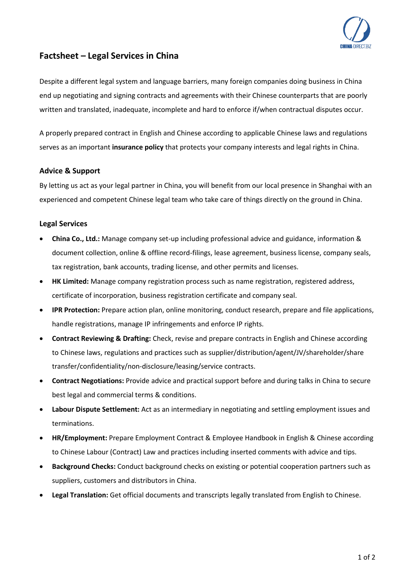

## **Factsheet – Legal Services in China**

Despite a different legal system and language barriers, many foreign companies doing business in China end up negotiating and signing contracts and agreements with their Chinese counterparts that are poorly written and translated, inadequate, incomplete and hard to enforce if/when contractual disputes occur.

A properly prepared contract in English and Chinese according to applicable Chinese laws and regulations serves as an important **insurance policy** that protects your company interests and legal rights in China.

## **Advice & Support**

By letting us act as your legal partner in China, you will benefit from our local presence in Shanghai with an experienced and competent Chinese legal team who take care of things directly on the ground in China.

## **Legal Services**

- **China Co., Ltd.:** Manage company set-up including professional advice and guidance, information & document collection, online & offline record-filings, lease agreement, business license, company seals, tax registration, bank accounts, trading license, and other permits and licenses.
- **HK Limited:** Manage company registration process such as name registration, registered address, certificate of incorporation, business registration certificate and company seal.
- **IPR Protection:** Prepare action plan, online monitoring, conduct research, prepare and file applications, handle registrations, manage IP infringements and enforce IP rights.
- **Contract Reviewing & Drafting:** Check, revise and prepare contracts in English and Chinese according to Chinese laws, regulations and practices such as supplier/distribution/agent/JV/shareholder/share transfer/confidentiality/non-disclosure/leasing/service contracts.
- **Contract Negotiations:** Provide advice and practical support before and during talks in China to secure best legal and commercial terms & conditions.
- **Labour Dispute Settlement:** Act as an intermediary in negotiating and settling employment issues and terminations.
- **HR/Employment:** Prepare Employment Contract & Employee Handbook in English & Chinese according to Chinese Labour (Contract) Law and practices including inserted comments with advice and tips.
- **Background Checks:** Conduct background checks on existing or potential cooperation partners such as suppliers, customers and distributors in China.
- **Legal Translation:** Get official documents and transcripts legally translated from English to Chinese.